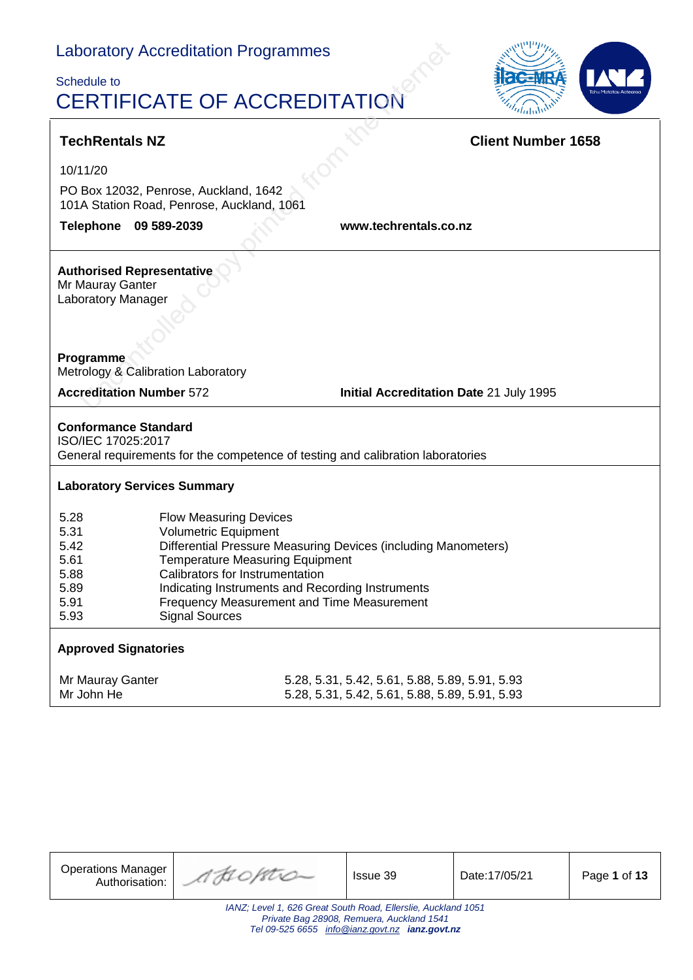$\mathbf{r}$ 

### Schedule to CERTIFICATE OF ACCREDITATION



| <b>TechRentals NZ</b>                                                                                                                                                                                                                                                                                                                                                                                  |                             |  |                       |                                                                                                  | <b>Client Number 1658</b> |  |  |
|--------------------------------------------------------------------------------------------------------------------------------------------------------------------------------------------------------------------------------------------------------------------------------------------------------------------------------------------------------------------------------------------------------|-----------------------------|--|-----------------------|--------------------------------------------------------------------------------------------------|---------------------------|--|--|
| 10/11/20                                                                                                                                                                                                                                                                                                                                                                                               |                             |  |                       |                                                                                                  |                           |  |  |
| PO Box 12032, Penrose, Auckland, 1642<br>101A Station Road, Penrose, Auckland, 1061                                                                                                                                                                                                                                                                                                                    |                             |  |                       |                                                                                                  |                           |  |  |
| Telephone 09 589-2039                                                                                                                                                                                                                                                                                                                                                                                  |                             |  | www.techrentals.co.nz |                                                                                                  |                           |  |  |
| <b>Authorised Representative</b><br>Mr Mauray Ganter<br>Laboratory Manager<br>Programme<br>Metrology & Calibration Laboratory                                                                                                                                                                                                                                                                          |                             |  |                       |                                                                                                  |                           |  |  |
| <b>Accreditation Number 572</b>                                                                                                                                                                                                                                                                                                                                                                        |                             |  |                       | Initial Accreditation Date 21 July 1995                                                          |                           |  |  |
| <b>Conformance Standard</b><br>ISO/IEC 17025:2017<br>General requirements for the competence of testing and calibration laboratories                                                                                                                                                                                                                                                                   |                             |  |                       |                                                                                                  |                           |  |  |
| <b>Laboratory Services Summary</b>                                                                                                                                                                                                                                                                                                                                                                     |                             |  |                       |                                                                                                  |                           |  |  |
| 5.28<br><b>Flow Measuring Devices</b><br>5.31<br><b>Volumetric Equipment</b><br>5.42<br>Differential Pressure Measuring Devices (including Manometers)<br>5.61<br><b>Temperature Measuring Equipment</b><br>Calibrators for Instrumentation<br>5.88<br>5.89<br>Indicating Instruments and Recording Instruments<br>5.91<br>Frequency Measurement and Time Measurement<br><b>Signal Sources</b><br>5.93 |                             |  |                       |                                                                                                  |                           |  |  |
|                                                                                                                                                                                                                                                                                                                                                                                                        | <b>Approved Signatories</b> |  |                       |                                                                                                  |                           |  |  |
| Mr Mauray Ganter<br>Mr John He                                                                                                                                                                                                                                                                                                                                                                         |                             |  |                       | 5.28, 5.31, 5.42, 5.61, 5.88, 5.89, 5.91, 5.93<br>5.28, 5.31, 5.42, 5.61, 5.88, 5.89, 5.91, 5.93 |                           |  |  |

| <b>Operations Manager</b><br>Authorisation:                                                                                                                  | AHOPTIO | <b>Issue 39</b> | Date:17/05/21 | Page 1 of 13 |  |  |  |
|--------------------------------------------------------------------------------------------------------------------------------------------------------------|---------|-----------------|---------------|--------------|--|--|--|
| IANZ; Level 1, 626 Great South Road, Ellerslie, Auckland 1051<br>Private Bag 28908, Remuera, Auckland 1541<br>Tel 09-525 6655 info@ianz.govt.nz ianz.govt.nz |         |                 |               |              |  |  |  |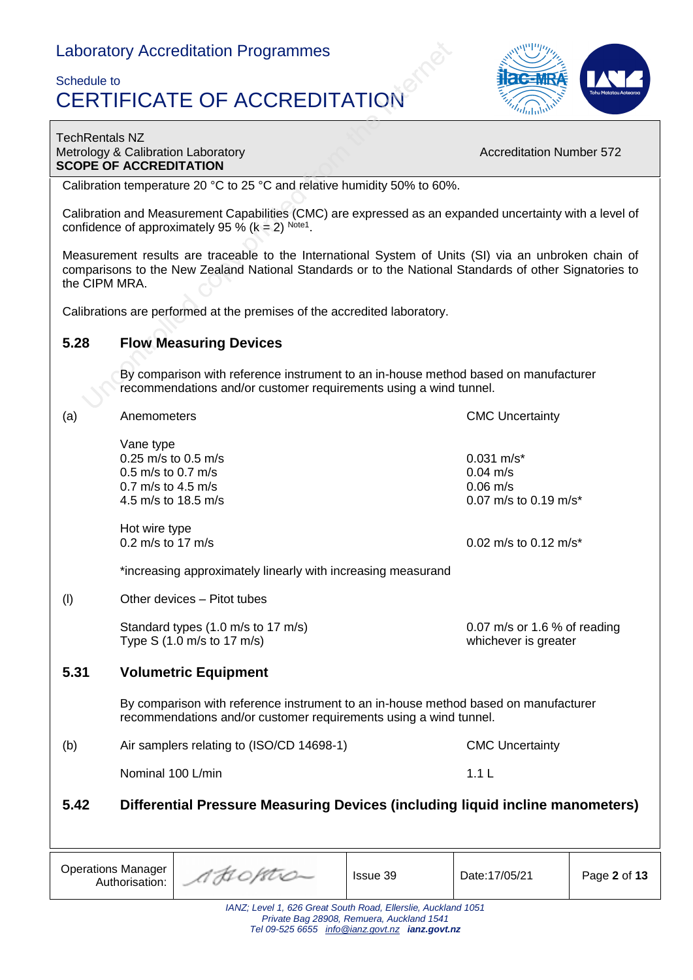### Schedule to CERTIFICATE OF ACCREDITATION



#### TechRentals NZ Metrology & Calibration Laboratory **Accreditation Number 572** Accreditation Number 572 **SCOPE OF ACCREDITATION**

Calibration temperature 20 °C to 25 °C and relative humidity 50% to 60%.

Calibration and Measurement Capabilities (CMC) are expressed as an expanded uncertainty with a level of confidence of approximately 95 % ( $k = 2$ ) Note1.

Measurement results are traceable to the International System of Units (SI) via an unbroken chain of comparisons to the New Zealand National Standards or to the National Standards of other Signatories to the CIPM MRA.

Calibrations are performed at the premises of the accredited laboratory.

#### **5.28 Flow Measuring Devices**

Authorisation:

By comparison with reference instrument to an in-house method based on manufacturer recommendations and/or customer requirements using a wind tunnel.

| (a)  | Anemometers                                                                                                                                              | <b>CMC Uncertainty</b>                               |                                                                           |              |  |
|------|----------------------------------------------------------------------------------------------------------------------------------------------------------|------------------------------------------------------|---------------------------------------------------------------------------|--------------|--|
|      | Vane type<br>0.25 m/s to 0.5 m/s<br>$0.5$ m/s to 0.7 m/s<br>0.7 m/s to 4.5 m/s<br>4.5 m/s to 18.5 m/s                                                    |                                                      | $0.031$ m/s*<br>$0.04 \text{ m/s}$<br>$0.06$ m/s<br>0.07 m/s to 0.19 m/s* |              |  |
|      | Hot wire type<br>0.2 m/s to 17 m/s                                                                                                                       |                                                      | 0.02 m/s to 0.12 m/s*                                                     |              |  |
|      | *increasing approximately linearly with increasing measurand                                                                                             |                                                      |                                                                           |              |  |
| (1)  | Other devices - Pitot tubes                                                                                                                              |                                                      |                                                                           |              |  |
|      | Standard types (1.0 m/s to 17 m/s)<br>Type S $(1.0 \text{ m/s to } 17 \text{ m/s})$                                                                      | 0.07 m/s or 1.6 % of reading<br>whichever is greater |                                                                           |              |  |
| 5.31 | <b>Volumetric Equipment</b>                                                                                                                              |                                                      |                                                                           |              |  |
|      | By comparison with reference instrument to an in-house method based on manufacturer<br>recommendations and/or customer requirements using a wind tunnel. |                                                      |                                                                           |              |  |
| (b)  | Air samplers relating to (ISO/CD 14698-1)                                                                                                                |                                                      | <b>CMC Uncertainty</b>                                                    |              |  |
|      | Nominal 100 L/min                                                                                                                                        |                                                      | 1.1L                                                                      |              |  |
| 5.42 | Differential Pressure Measuring Devices (including liquid incline manometers)                                                                            |                                                      |                                                                           |              |  |
|      |                                                                                                                                                          |                                                      |                                                                           |              |  |
|      | <b>Operations Manager</b><br>AHOPATO<br>Authorisation:                                                                                                   | Issue 39                                             | Date: 17/05/21                                                            | Page 2 of 13 |  |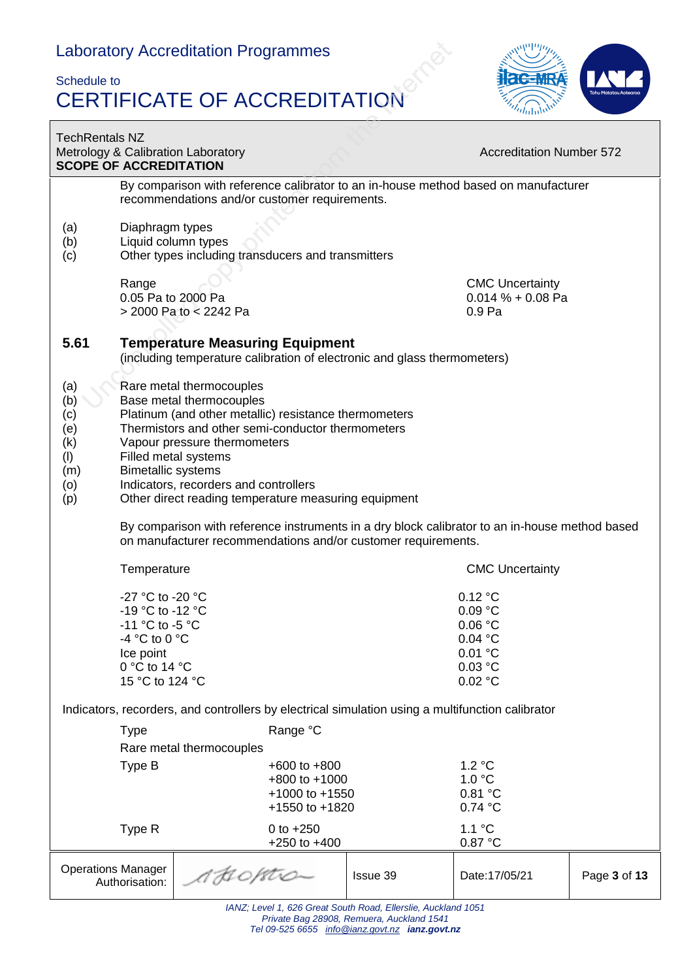### Schedule to CERTIFICATE OF ACCREDITATION



| <b>TechRentals NZ</b><br><b>SCOPE OF ACCREDITATION</b>      |                                                                                                                                                                                                                                                                                                                                                          | Metrology & Calibration Laboratory                                                                                                                              |          | <b>Accreditation Number 572</b>                                           |              |  |
|-------------------------------------------------------------|----------------------------------------------------------------------------------------------------------------------------------------------------------------------------------------------------------------------------------------------------------------------------------------------------------------------------------------------------------|-----------------------------------------------------------------------------------------------------------------------------------------------------------------|----------|---------------------------------------------------------------------------|--------------|--|
|                                                             |                                                                                                                                                                                                                                                                                                                                                          | By comparison with reference calibrator to an in-house method based on manufacturer<br>recommendations and/or customer requirements.                            |          |                                                                           |              |  |
| (a)<br>(b)<br>(c)                                           | Diaphragm types<br>Liquid column types                                                                                                                                                                                                                                                                                                                   | Other types including transducers and transmitters                                                                                                              |          |                                                                           |              |  |
|                                                             | Range<br>0.05 Pa to 2000 Pa                                                                                                                                                                                                                                                                                                                              | > 2000 Pa to < 2242 Pa                                                                                                                                          |          | <b>CMC Uncertainty</b><br>$0.014 \% + 0.08$ Pa<br>0.9 Pa                  |              |  |
| 5.61                                                        |                                                                                                                                                                                                                                                                                                                                                          | <b>Temperature Measuring Equipment</b><br>(including temperature calibration of electronic and glass thermometers)                                              |          |                                                                           |              |  |
| (a)<br>(b)<br>(c)<br>(e)<br>(k)<br>(1)<br>(m)<br>(0)<br>(p) | Rare metal thermocouples<br>Base metal thermocouples<br>Platinum (and other metallic) resistance thermometers<br>Thermistors and other semi-conductor thermometers<br>Vapour pressure thermometers<br>Filled metal systems<br><b>Bimetallic systems</b><br>Indicators, recorders and controllers<br>Other direct reading temperature measuring equipment |                                                                                                                                                                 |          |                                                                           |              |  |
|                                                             |                                                                                                                                                                                                                                                                                                                                                          | By comparison with reference instruments in a dry block calibrator to an in-house method based<br>on manufacturer recommendations and/or customer requirements. |          |                                                                           |              |  |
|                                                             | Temperature                                                                                                                                                                                                                                                                                                                                              |                                                                                                                                                                 |          | <b>CMC Uncertainty</b>                                                    |              |  |
|                                                             | -27 °C to -20 °C<br>-19 °C to -12 °C<br>-11 °C to -5 °C<br>-4 °C to 0 °C<br>Ice point<br>0 °C to 14 °C<br>15 °C to 124 °C                                                                                                                                                                                                                                |                                                                                                                                                                 |          | 0.12 °C<br>0.09 °C<br>0.06 °C<br>0.04 °C<br>0.01 °C<br>0.03 °C<br>0.02 °C |              |  |
|                                                             |                                                                                                                                                                                                                                                                                                                                                          | Indicators, recorders, and controllers by electrical simulation using a multifunction calibrator                                                                |          |                                                                           |              |  |
|                                                             | <b>Type</b>                                                                                                                                                                                                                                                                                                                                              | Range °C<br>Rare metal thermocouples                                                                                                                            |          |                                                                           |              |  |
|                                                             | Type B                                                                                                                                                                                                                                                                                                                                                   | $+600$ to $+800$<br>$+800$ to $+1000$<br>+1000 to +1550<br>+1550 to +1820                                                                                       |          | 1.2 °C<br>1.0 °C<br>0.81 °C<br>0.74 °C                                    |              |  |
|                                                             | Type R                                                                                                                                                                                                                                                                                                                                                   | 0 to $+250$<br>$+250$ to $+400$                                                                                                                                 |          | 1.1 °C<br>0.87 °C                                                         |              |  |
| <b>Operations Manager</b>                                   | Authorisation:                                                                                                                                                                                                                                                                                                                                           | A HOPSTS                                                                                                                                                        | Issue 39 | Date: 17/05/21                                                            | Page 3 of 13 |  |

*IANZ; Level 1, 626 Great South Road, Ellerslie, Auckland 1051 Private Bag 28908, Remuera, Auckland 1541 Tel 09-525 6655 [info@ianz.govt.nz](mailto:info@ianz.govt.nz) ianz.govt.nz*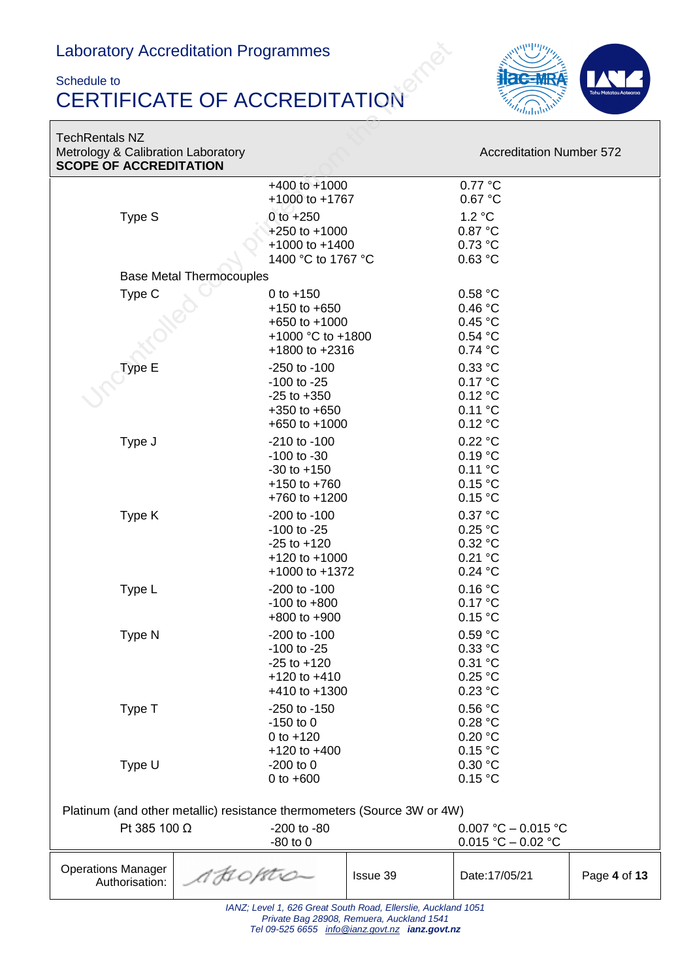#### Schedule to CERTIFICATE OF ACCREDITATION



### **TechRenta SCOPE O**

Operations Manager Authorisation:

| <b>TechRentals NZ</b>                                               |                                                                                                   |                                                       |
|---------------------------------------------------------------------|---------------------------------------------------------------------------------------------------|-------------------------------------------------------|
| Metrology & Calibration Laboratory<br><b>SCOPE OF ACCREDITATION</b> |                                                                                                   | <b>Accreditation Number 572</b>                       |
|                                                                     | $+400$ to $+1000$<br>+1000 to +1767                                                               | 0.77 °C<br>0.67 °C                                    |
| Type S                                                              | $0$ to $+250$<br>$+250$ to $+1000$<br>$+1000$ to $+1400$<br>1400 °C to 1767 °C                    | 1.2 °C<br>0.87 °C<br>0.73 °C<br>0.63 °C               |
| <b>Base Metal Thermocouples</b>                                     |                                                                                                   |                                                       |
| Type C                                                              | 0 to $+150$<br>$+150$ to $+650$<br>$+650$ to $+1000$<br>+1000 °C to +1800<br>$+1800$ to $+2316$   | 0.58 °C<br>0.46 °C<br>0.45 °C<br>0.54 °C<br>0.74 °C   |
| Type E                                                              | $-250$ to $-100$<br>$-100$ to $-25$<br>$-25$ to $+350$<br>$+350$ to $+650$<br>$+650$ to $+1000$   | $0.33$ °C<br>0.17 °C<br>0.12 °C<br>0.11 °C<br>0.12 °C |
| Type J                                                              | $-210$ to $-100$<br>$-100$ to $-30$<br>$-30$ to $+150$<br>$+150$ to $+760$<br>$+760$ to $+1200$   | 0.22 °C<br>0.19 °C<br>0.11 °C<br>0.15 °C<br>0.15 °C   |
| Type K                                                              | $-200$ to $-100$<br>$-100$ to $-25$<br>$-25$ to $+120$<br>$+120$ to $+1000$<br>$+1000$ to $+1372$ | 0.37 °C<br>0.25 °C<br>0.32 °C<br>0.21 °C<br>0.24 °C   |
| Type L                                                              | $-200$ to $-100$<br>$-100$ to $+800$<br>$+800$ to $+900$                                          | 0.16 °C<br>0.17 °C<br>0.15 °C                         |
| Type N                                                              | $-200$ to $-100$<br>-100 to -25<br>$-25$ to $+120$<br>$+120$ to $+410$<br>$+410$ to $+1300$       | 0.59 °C<br>0.33 °C<br>0.31 °C<br>0.25 °C<br>0.23 °C   |
| Type T                                                              | $-250$ to $-150$<br>$-150$ to 0<br>0 to $+120$                                                    | 0.56 °C<br>0.28 °C<br>0.20 °C                         |

*IANZ; Level 1, 626 Great South Road, Ellerslie, Auckland 1051 Private Bag 28908, Remuera, Auckland 1541 Tel 09-525 6655 [info@ianz.govt.nz](mailto:info@ianz.govt.nz) ianz.govt.nz*

Pt 385 100 Ω -200 to -80 0.007 °C – 0.015 °C

+120 to +400 0.15 °C<br>-200 to 0 0.30 °C

 $-80$  to 0 0.015 °C – 0.02 °C

Type U -200 to 0 0.30 °C<br>0 to +600 0.15 °C 0 to  $+600$ 

Platinum (and other metallic) resistance thermometers (Source 3W or 4W)

AHOPTO

Issue 39 Date:17/05/21 Page **4** of **13**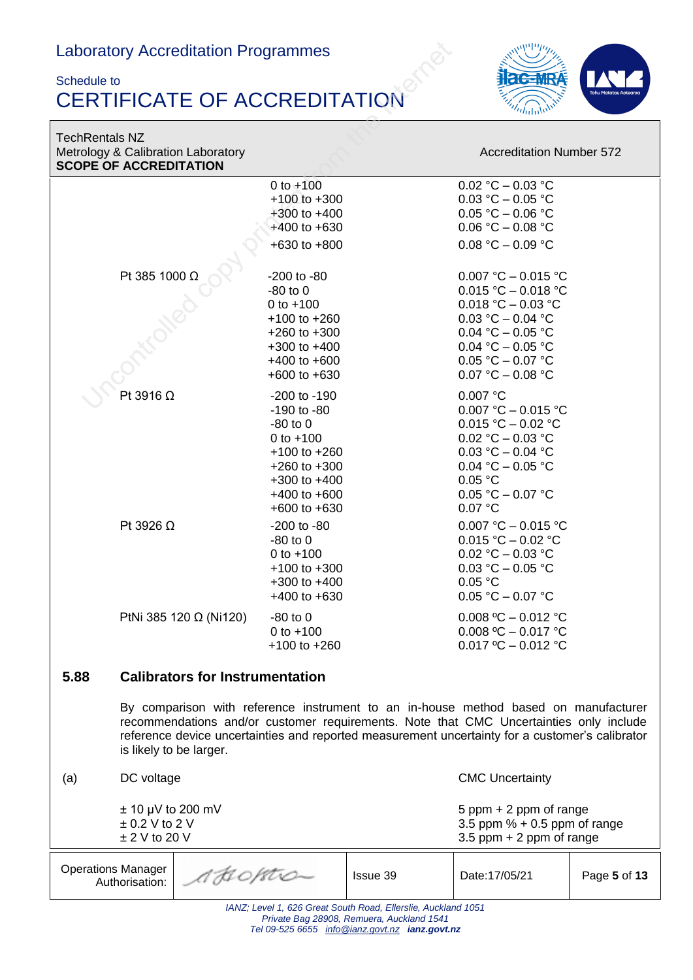#### Schedule to CERTIFICATE OF ACCREDITATION



TechRentals NZ Metrology & Calibration Laboratory **Accreditation Number 572** Accreditation Number 572 **SCOPE OF ACCREDITATION**

|      | <b>SCOPE OF ACCREDITATION</b>                                                                                                                                                                                                                                                                               |                                                                                                                                                                        |                                                                                                                                                                                 |  |  |
|------|-------------------------------------------------------------------------------------------------------------------------------------------------------------------------------------------------------------------------------------------------------------------------------------------------------------|------------------------------------------------------------------------------------------------------------------------------------------------------------------------|---------------------------------------------------------------------------------------------------------------------------------------------------------------------------------|--|--|
|      |                                                                                                                                                                                                                                                                                                             | 0 to $+100$<br>$+100$ to $+300$<br>$+300$ to $+400$<br>$+400$ to $+630$<br>+630 to +800                                                                                | $0.02 °C - 0.03 °C$<br>$0.03 °C - 0.05 °C$<br>$0.05 °C - 0.06 °C$<br>$0.06 °C - 0.08 °C$<br>$0.08 °C - 0.09 °C$                                                                 |  |  |
|      | Pt 385 1000 Ω                                                                                                                                                                                                                                                                                               | -200 to -80<br>$-80$ to $0$<br>0 to $+100$<br>$+100$ to $+260$<br>$+260$ to $+300$<br>$+300$ to $+400$<br>$+400$ to $+600$<br>$+600$ to $+630$                         | 0.007 °C - 0.015 °C<br>0.015 °C - 0.018 °C<br>0.018 °C - 0.03 °C<br>$0.03 °C - 0.04 °C$<br>0.04 °C - 0.05 °C<br>0.04 °C - 0.05 °C<br>$0.05 °C - 0.07 °C$<br>$0.07 °C - 0.08 °C$ |  |  |
|      | Pt 3916 $\Omega$                                                                                                                                                                                                                                                                                            | $-200$ to $-190$<br>$-190$ to $-80$<br>$-80$ to $0$<br>0 to $+100$<br>$+100$ to $+260$<br>$+260$ to $+300$<br>$+300$ to $+400$<br>$+400$ to $+600$<br>$+600$ to $+630$ | 0.007 °C<br>0.007 °C - 0.015 °C<br>$0.015 °C - 0.02 °C$<br>0.02 °C - 0.03 °C<br>0.03 °C - 0.04 °C<br>0.04 °C - 0.05 °C<br>0.05 °C<br>$0.05 °C - 0.07 °C$<br>0.07 °C             |  |  |
|      | Pt 3926 $\Omega$                                                                                                                                                                                                                                                                                            | $-200$ to $-80$<br>$-80$ to $0$<br>0 to $+100$<br>$+100$ to $+300$<br>$+300$ to $+400$<br>$+400$ to $+630$                                                             | 0.007 °C - 0.015 °C<br>$0.015 °C - 0.02 °C$<br>$0.02 °C - 0.03 °C$<br>$0.03 °C - 0.05 °C$<br>0.05 °C<br>$0.05 °C - 0.07 °C$                                                     |  |  |
|      | PtNi 385 120 Ω (Ni120)                                                                                                                                                                                                                                                                                      | $-80$ to $0$<br>0 to $+100$<br>$+100$ to $+260$                                                                                                                        | 0.008 °C $-$ 0.012 °C<br>0.008 °C - 0.017 °C<br>$0.017 \text{ °C} - 0.012 \text{ °C}$                                                                                           |  |  |
| 5.88 | <b>Calibrators for Instrumentation</b>                                                                                                                                                                                                                                                                      |                                                                                                                                                                        |                                                                                                                                                                                 |  |  |
|      | By comparison with reference instrument to an in-house method based on manufacturer<br>recommendations and/or customer requirements. Note that CMC Uncertainties only include<br>reference device uncertainties and reported measurement uncertainty for a customer's calibrator<br>is likely to be larger. |                                                                                                                                                                        |                                                                                                                                                                                 |  |  |
| (a)  | DC voltage                                                                                                                                                                                                                                                                                                  |                                                                                                                                                                        | <b>CMC Uncertainty</b>                                                                                                                                                          |  |  |
|      | $\pm$ 10 µV to 200 mV<br>$\pm$ 0.2 V to 2 V<br>$±$ 2 V to 20 V                                                                                                                                                                                                                                              |                                                                                                                                                                        | 5 ppm + 2 ppm of range<br>3.5 ppm $% + 0.5$ ppm of range<br>3.5 ppm $+$ 2 ppm of range                                                                                          |  |  |

| <b>Operations Manager</b><br>Authorisation:                  | 1 AHOPTIC | Issue 39 | Date: 17/05/21 | Page 5 of 13 |  |
|--------------------------------------------------------------|-----------|----------|----------------|--------------|--|
| 1007. Loyal 1, COC Croot Couth Dood, Floralia, Aughland 1051 |           |          |                |              |  |

*IANZ; Level 1, 626 Great South Road, Ellerslie, Auckland 1051 Private Bag 28908, Remuera, Auckland 1541 Tel 09-525 6655 [info@ianz.govt.nz](mailto:info@ianz.govt.nz) ianz.govt.nz*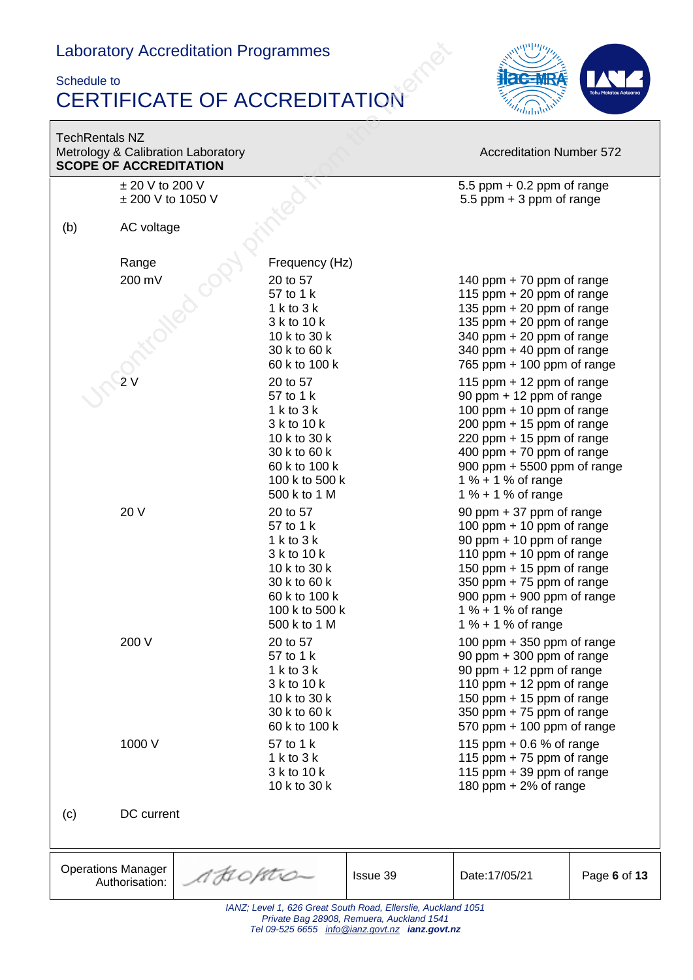#### Schedule to CERTIFICATE OF ACCREDITATION



| <b>TechRentals NZ</b> | <b>SCOPE OF ACCREDITATION</b> | Metrology & Calibration Laboratory |                               |                                                                                             | <b>Accreditation Number 572</b>                             |              |
|-----------------------|-------------------------------|------------------------------------|-------------------------------|---------------------------------------------------------------------------------------------|-------------------------------------------------------------|--------------|
|                       | $\pm$ 20 V to 200 V           |                                    |                               |                                                                                             | 5.5 ppm $+$ 0.2 ppm of range                                |              |
|                       | ± 200 V to 1050 V             |                                    |                               |                                                                                             | 5.5 ppm $+3$ ppm of range                                   |              |
| (b)                   | AC voltage                    |                                    |                               |                                                                                             |                                                             |              |
|                       | Range                         |                                    | Frequency (Hz)                |                                                                                             |                                                             |              |
|                       | 200 mV                        |                                    | 20 to 57                      |                                                                                             | 140 ppm $+ 70$ ppm of range                                 |              |
|                       |                               |                                    | 57 to 1 k                     |                                                                                             | 115 ppm $+$ 20 ppm of range                                 |              |
|                       |                               |                                    | $1$ k to $3$ k                |                                                                                             | 135 ppm $+$ 20 ppm of range                                 |              |
|                       |                               |                                    | 3 k to 10 k                   |                                                                                             | 135 ppm $+$ 20 ppm of range                                 |              |
|                       |                               |                                    | 10 k to 30 k                  |                                                                                             | 340 ppm + 20 ppm of range                                   |              |
|                       |                               |                                    | 30 k to 60 k<br>60 k to 100 k |                                                                                             | 340 ppm $+$ 40 ppm of range<br>765 ppm $+$ 100 ppm of range |              |
|                       |                               |                                    | 20 to 57                      |                                                                                             | 115 ppm $+$ 12 ppm of range                                 |              |
|                       |                               |                                    | 57 to 1 k                     |                                                                                             | 90 ppm + 12 ppm of range                                    |              |
|                       |                               |                                    | $1$ k to $3$ k                |                                                                                             | 100 ppm $+$ 10 ppm of range                                 |              |
|                       |                               |                                    | 3 k to 10 k                   |                                                                                             | $200$ ppm + 15 ppm of range                                 |              |
|                       |                               |                                    | 10 k to 30 k                  |                                                                                             | 220 ppm $+$ 15 ppm of range                                 |              |
|                       |                               |                                    | 30 k to 60 k<br>60 k to 100 k |                                                                                             | 400 ppm $+ 70$ ppm of range<br>900 ppm + 5500 ppm of range  |              |
|                       |                               |                                    | 100 k to 500 k                |                                                                                             | 1 % + 1 % of range                                          |              |
|                       |                               |                                    | 500 k to 1 M                  |                                                                                             | 1 % + 1 % of range                                          |              |
|                       | 20 V                          |                                    | 20 to 57                      |                                                                                             | 90 ppm + 37 ppm of range                                    |              |
|                       |                               |                                    | 57 to 1 k                     |                                                                                             | 100 ppm $+$ 10 ppm of range                                 |              |
|                       |                               |                                    | $1$ k to $3$ k                |                                                                                             | 90 ppm + 10 ppm of range                                    |              |
|                       |                               |                                    | 3 k to 10 k<br>10 k to 30 k   |                                                                                             | 110 ppm $+$ 10 ppm of range<br>150 ppm + 15 ppm of range    |              |
|                       |                               |                                    | 30 k to 60 k                  |                                                                                             | 350 ppm + 75 ppm of range                                   |              |
|                       |                               |                                    | 60 k to 100 k                 |                                                                                             | 900 ppm + 900 ppm of range                                  |              |
|                       |                               |                                    | 100 k to 500 k                |                                                                                             | 1 % + 1 % of range                                          |              |
|                       |                               |                                    | 500 k to 1 M                  |                                                                                             | 1 % + 1 % of range                                          |              |
|                       | 200 V                         |                                    | 20 to 57                      |                                                                                             | 100 ppm + 350 ppm of range                                  |              |
|                       |                               |                                    | 57 to 1 k<br>$1$ k to $3$ k   |                                                                                             | 90 ppm $+$ 300 ppm of range<br>90 ppm + 12 ppm of range     |              |
|                       |                               |                                    | 3 k to 10 k                   |                                                                                             | 110 ppm $+$ 12 ppm of range                                 |              |
|                       |                               |                                    | 10 k to 30 k                  |                                                                                             | 150 ppm + 15 ppm of range                                   |              |
|                       |                               |                                    | 30 k to 60 k                  |                                                                                             | 350 ppm $+ 75$ ppm of range                                 |              |
|                       |                               |                                    | 60 k to 100 k                 |                                                                                             | 570 ppm $+$ 100 ppm of range                                |              |
|                       | 1000 V                        |                                    | 57 to 1 k                     |                                                                                             | 115 ppm $+0.6$ % of range                                   |              |
|                       |                               |                                    | $1$ k to $3$ k<br>3 k to 10 k |                                                                                             | 115 ppm $+ 75$ ppm of range<br>115 ppm $+$ 39 ppm of range  |              |
|                       |                               |                                    | 10 k to 30 k                  |                                                                                             | 180 ppm + 2% of range                                       |              |
|                       |                               |                                    |                               |                                                                                             |                                                             |              |
| (c)                   | DC current                    |                                    |                               |                                                                                             |                                                             |              |
|                       |                               |                                    |                               |                                                                                             |                                                             |              |
|                       | <b>Operations Manager</b>     |                                    |                               |                                                                                             |                                                             |              |
|                       | Authorisation:                | 1 JI 0 / 8tr0-                     |                               | Issue 39                                                                                    | Date: 17/05/21                                              | Page 6 of 13 |
|                       |                               |                                    |                               | IANZ; Level 1, 626 Great South Road, Ellerslie, Auckland 1051                               |                                                             |              |
|                       |                               |                                    |                               | Private Bag 28908, Remuera, Auckland 1541<br>Tel 09-525 6655 info@ianz.govt.nz ianz.govt.nz |                                                             |              |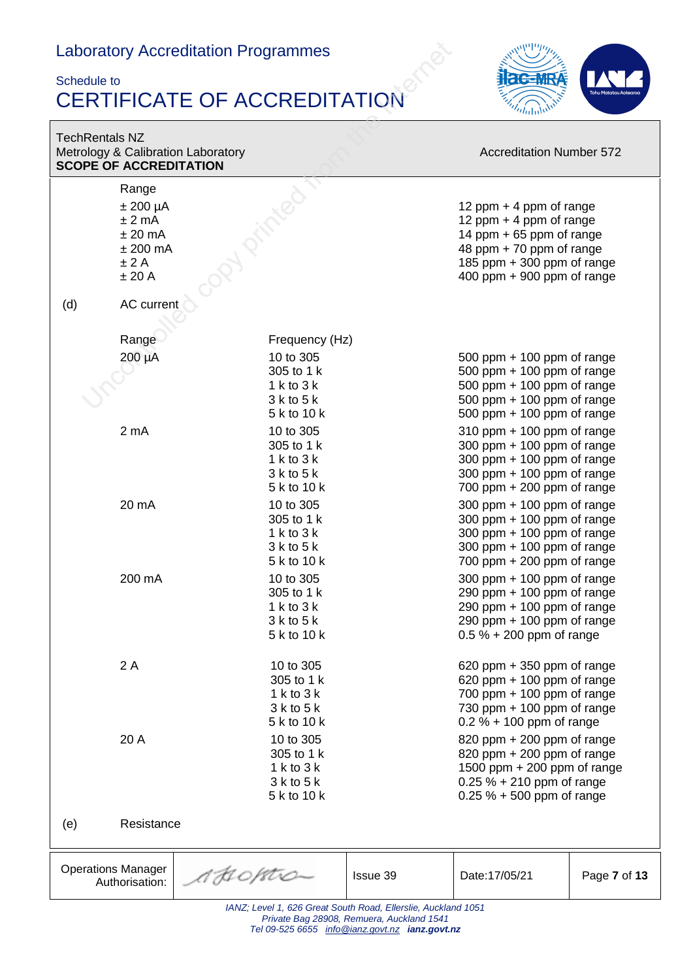#### Schedule to CERTIFICATE OF ACCREDITATION



| <b>TechRentals NZ</b>     | <b>SCOPE OF ACCREDITATION</b>                                               | Metrology & Calibration Laboratory                                       |                                           | <b>Accreditation Number 572</b>                                                                                                                                              |              |
|---------------------------|-----------------------------------------------------------------------------|--------------------------------------------------------------------------|-------------------------------------------|------------------------------------------------------------------------------------------------------------------------------------------------------------------------------|--------------|
|                           | Range<br>$±$ 200 µA<br>±2mA<br>$± 20$ mA<br>$±$ 200 mA<br>$±$ 2 A<br>± 20 A |                                                                          |                                           | 12 ppm $+$ 4 ppm of range<br>12 ppm $+$ 4 ppm of range<br>14 ppm + 65 ppm of range<br>48 ppm + 70 ppm of range<br>185 ppm + 300 ppm of range<br>400 ppm $+$ 900 ppm of range |              |
| (d)                       | AC current                                                                  |                                                                          |                                           |                                                                                                                                                                              |              |
|                           | Range<br>200 µA                                                             | Frequency (Hz)<br>10 to 305<br>305 to 1 k                                |                                           | 500 ppm $+$ 100 ppm of range<br>500 ppm $+$ 100 ppm of range                                                                                                                 |              |
|                           |                                                                             | $1$ k to $3$ k<br>$3k$ to $5k$<br>5 k to 10 k                            |                                           | 500 ppm $+$ 100 ppm of range<br>500 ppm $+$ 100 ppm of range<br>500 ppm $+$ 100 ppm of range                                                                                 |              |
|                           | 2 mA                                                                        | 10 to 305<br>305 to 1 k<br>$1$ k to $3$ k<br>$3k$ to $5k$<br>5 k to 10 k |                                           | $310$ ppm + 100 ppm of range<br>300 ppm $+$ 100 ppm of range<br>300 ppm $+$ 100 ppm of range<br>300 ppm $+$ 100 ppm of range<br>700 ppm $+$ 200 ppm of range                 |              |
|                           | 20 mA                                                                       | 10 to 305<br>305 to 1 k<br>1 k to 3 k<br>$3k$ to $5k$<br>5 k to 10 k     |                                           | 300 ppm $+$ 100 ppm of range<br>300 ppm $+$ 100 ppm of range<br>300 ppm $+$ 100 ppm of range<br>300 ppm $+$ 100 ppm of range<br>700 ppm $+$ 200 ppm of range                 |              |
|                           | 200 mA                                                                      | 10 to 305<br>305 to 1 k<br>$1$ k to $3$ k<br>$3k$ to $5k$<br>5 k to 10 k |                                           | 300 ppm $+$ 100 ppm of range<br>290 ppm $+$ 100 ppm of range<br>290 ppm + 100 ppm of range<br>290 ppm $+$ 100 ppm of range<br>$0.5 \% + 200$ ppm of range                    |              |
|                           | 2A                                                                          | 10 to 305<br>305 to 1 k<br>1 k to $3$ k<br>$3k$ to $5k$<br>5 k to 10 k   |                                           | 620 ppm $+350$ ppm of range<br>620 ppm $+$ 100 ppm of range<br>700 ppm $+$ 100 ppm of range<br>730 ppm $+$ 100 ppm of range<br>$0.2 \% + 100$ ppm of range                   |              |
|                           | 20 A                                                                        | 10 to 305<br>305 to 1 k<br>1 k to 3 k<br>$3k$ to $5k$<br>5 k to 10 k     |                                           | 820 ppm $+$ 200 ppm of range<br>820 ppm $+$ 200 ppm of range<br>1500 ppm $+$ 200 ppm of range<br>$0.25 \% + 210$ ppm of range<br>$0.25 \% + 500$ ppm of range                |              |
| (e)                       | Resistance                                                                  |                                                                          |                                           |                                                                                                                                                                              |              |
| <b>Operations Manager</b> | Authorisation:                                                              | AHOPTO-                                                                  | Issue 39                                  | Date: 17/05/21                                                                                                                                                               | Page 7 of 13 |
|                           |                                                                             | IANZ; Level 1, 626 Great South Road, Ellerslie, Auckland 1051            | Private Bag 28908, Remuera, Auckland 1541 |                                                                                                                                                                              |              |

*Tel 09-525 6655 [info@ianz.govt.nz](mailto:info@ianz.govt.nz) ianz.govt.nz*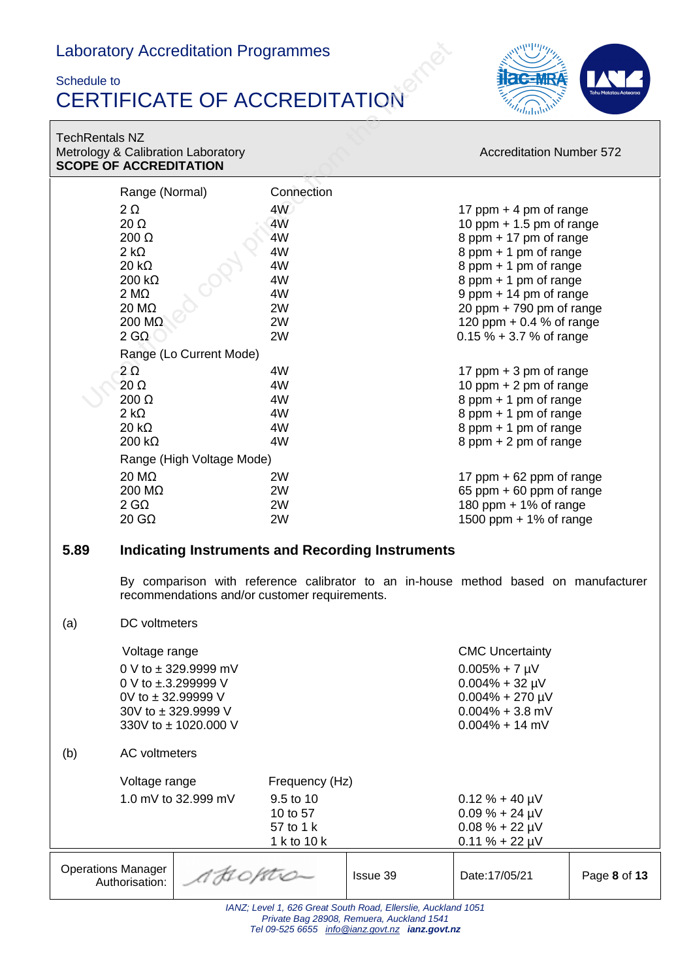### Schedule to CERTIFICATE OF ACCREDITATION



TechRentals NZ Metrology & Calibration Laboratory **Accreditation Number 572** Accreditation Number 572 **SCOPE OF ACCREDITATION**

|                           | <b>JUUFE UF AUUREDITATIUN</b> |                                               |                |                                                               |                                                                                     |              |
|---------------------------|-------------------------------|-----------------------------------------------|----------------|---------------------------------------------------------------|-------------------------------------------------------------------------------------|--------------|
|                           | Range (Normal)                |                                               | Connection     |                                                               |                                                                                     |              |
|                           | $2\Omega$                     |                                               | 4W             |                                                               | 17 ppm $+$ 4 pm of range                                                            |              |
|                           | $20 \Omega$                   |                                               | 4W             |                                                               | 10 ppm $+$ 1.5 pm of range                                                          |              |
|                           | $200 \Omega$                  |                                               | 4W             |                                                               | 8 ppm + 17 pm of range                                                              |              |
|                           | $2 k\Omega$                   |                                               | 4W             |                                                               | 8 ppm + 1 pm of range                                                               |              |
|                           | $20 k\Omega$                  |                                               | 4W             |                                                               | 8 ppm + 1 pm of range                                                               |              |
|                           | $200 k\Omega$                 |                                               | 4W             |                                                               | 8 ppm + 1 pm of range                                                               |              |
|                           | $2 M\Omega$                   |                                               | 4W             |                                                               | 9 ppm + 14 pm of range                                                              |              |
|                           | 20 MΩ                         |                                               | 2W             |                                                               | 20 ppm $+790$ pm of range                                                           |              |
|                           | 200 MΩ                        |                                               | 2W             |                                                               | 120 ppm $+ 0.4 %$ of range                                                          |              |
|                           | $2 \text{ G}\Omega$           |                                               | 2W             |                                                               | $0.15 \% + 3.7 \%$ of range                                                         |              |
|                           |                               | Range (Lo Current Mode)                       |                |                                                               |                                                                                     |              |
|                           | $2\Omega$                     |                                               | 4W             |                                                               | 17 ppm + 3 pm of range                                                              |              |
|                           | $20 \Omega$                   |                                               | 4W             |                                                               | 10 ppm $+$ 2 pm of range                                                            |              |
|                           | 200 Ω                         |                                               | 4W             |                                                               | 8 ppm + 1 pm of range                                                               |              |
|                           | $2 k\Omega$                   |                                               | 4W             |                                                               | 8 ppm + 1 pm of range                                                               |              |
|                           | $20 k\Omega$                  |                                               | 4W             |                                                               | 8 ppm + 1 pm of range                                                               |              |
|                           | $200 k\Omega$                 |                                               | 4W             |                                                               | 8 ppm + 2 pm of range                                                               |              |
|                           |                               | Range (High Voltage Mode)                     |                |                                                               |                                                                                     |              |
|                           | 20 MΩ                         |                                               | 2W             |                                                               | 17 ppm $+62$ ppm of range                                                           |              |
|                           | 200 MΩ                        |                                               | 2W             |                                                               | 65 ppm $+60$ ppm of range                                                           |              |
|                           | $2$ G $\Omega$                |                                               | 2W             |                                                               | 180 ppm $+$ 1% of range                                                             |              |
|                           | $20 \text{ } G\Omega$         |                                               | 2W             |                                                               | 1500 ppm $+$ 1% of range                                                            |              |
|                           |                               |                                               |                |                                                               |                                                                                     |              |
| 5.89                      |                               |                                               |                | Indicating Instruments and Recording Instruments              |                                                                                     |              |
|                           |                               |                                               |                |                                                               |                                                                                     |              |
|                           |                               |                                               |                |                                                               | By comparison with reference calibrator to an in-house method based on manufacturer |              |
|                           |                               | recommendations and/or customer requirements. |                |                                                               |                                                                                     |              |
|                           | DC voltmeters                 |                                               |                |                                                               |                                                                                     |              |
| (a)                       |                               |                                               |                |                                                               |                                                                                     |              |
|                           | Voltage range                 |                                               |                |                                                               | <b>CMC Uncertainty</b>                                                              |              |
|                           |                               | 0 V to ± 329.9999 mV                          |                |                                                               | $0.005\% + 7 \mu V$                                                                 |              |
|                           |                               | 0 V to ±.3.299999 V                           |                |                                                               | $0.004\% + 32 \mu V$                                                                |              |
|                           | 0V to ±32.99999 V             |                                               |                |                                                               | $0.004\% + 270 \mu V$                                                               |              |
|                           |                               | 30V to ± 329.9999 V                           |                |                                                               | $0.004\% + 3.8$ mV                                                                  |              |
|                           |                               | 330V to ± 1020.000 V                          |                |                                                               | $0.004\% + 14$ mV                                                                   |              |
|                           |                               |                                               |                |                                                               |                                                                                     |              |
| (b)                       | AC voltmeters                 |                                               |                |                                                               |                                                                                     |              |
|                           | Voltage range                 |                                               | Frequency (Hz) |                                                               |                                                                                     |              |
|                           |                               |                                               |                |                                                               |                                                                                     |              |
|                           |                               |                                               | 9.5 to 10      |                                                               | $0.12 \% + 40 \mu V$                                                                |              |
|                           | 1.0 mV to 32.999 mV           |                                               |                |                                                               |                                                                                     |              |
|                           |                               |                                               | 10 to 57       |                                                               | $0.09 \% + 24 \mu V$                                                                |              |
|                           |                               |                                               | 57 to 1 k      |                                                               | $0.08 \% + 22 \mu V$                                                                |              |
|                           |                               |                                               | 1 k to 10 k    |                                                               | $0.11 \% + 22 \mu V$                                                                |              |
|                           |                               |                                               |                |                                                               |                                                                                     |              |
| <b>Operations Manager</b> | Authorisation:                | A HOPTO                                       |                | Issue 39                                                      | Date: 17/05/21                                                                      | Page 8 of 13 |
|                           |                               |                                               |                | IANZ: Level 1, 626 Great South Road, Ellerslie, Auckland 1051 |                                                                                     |              |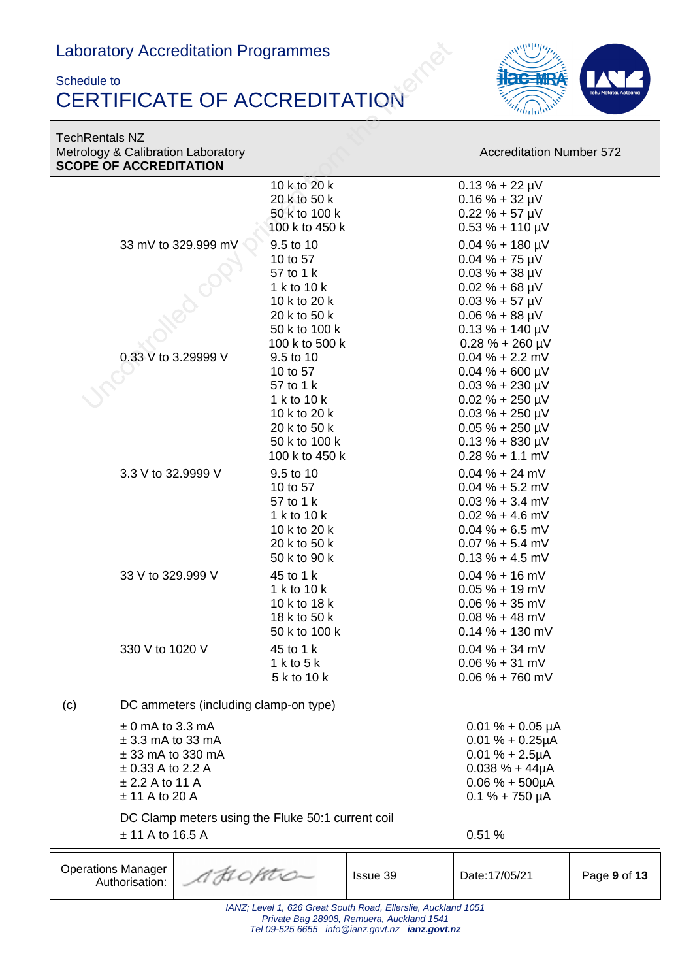#### Schedule to CERTIFICATE OF ACCREDITATION



TechRentals NZ Metrology & Calibration Laboratory **Accreditation Number 572** Accreditation Number 572 **SCOPE OF ACCREDITATION**

|                                                   | 10 k to 20 k   |                                                              | $0.13 \% + 22 \mu V$   |              |
|---------------------------------------------------|----------------|--------------------------------------------------------------|------------------------|--------------|
|                                                   | 20 k to 50 k   |                                                              | $0.16 \% + 32 \mu V$   |              |
|                                                   | 50 k to 100 k  |                                                              | $0.22 \% + 57 \mu V$   |              |
|                                                   | 100 k to 450 k |                                                              | $0.53 \% + 110 \mu V$  |              |
| 33 mV to 329.999 mV                               | 9.5 to 10      |                                                              | $0.04 \% + 180 \mu V$  |              |
|                                                   | 10 to 57       |                                                              | $0.04 \% + 75 \mu V$   |              |
|                                                   | 57 to 1 k      |                                                              | $0.03 \% + 38 \mu V$   |              |
|                                                   | 1 k to 10 k    |                                                              | $0.02 \% + 68 \mu V$   |              |
|                                                   | 10 k to 20 k   |                                                              | $0.03 \% + 57 \mu V$   |              |
|                                                   | 20 k to 50 k   |                                                              | $0.06 \% + 88 \mu V$   |              |
|                                                   | 50 k to 100 k  |                                                              | $0.13 \% + 140 \mu V$  |              |
|                                                   | 100 k to 500 k |                                                              | $0.28 \% + 260 \mu V$  |              |
| 0.33 V to 3.29999 V                               | 9.5 to 10      |                                                              | $0.04\% + 2.2$ mV      |              |
|                                                   | 10 to 57       |                                                              | $0.04 \% + 600 \mu V$  |              |
|                                                   | 57 to 1 k      |                                                              | $0.03 \% + 230 \mu V$  |              |
|                                                   | 1 k to 10 k    |                                                              | $0.02 \% + 250 \mu V$  |              |
|                                                   | 10 k to 20 k   |                                                              | $0.03 \% + 250 \mu V$  |              |
|                                                   | 20 k to 50 k   |                                                              | $0.05 \% + 250 \mu V$  |              |
|                                                   | 50 k to 100 k  |                                                              | $0.13 \% + 830 \mu V$  |              |
|                                                   | 100 k to 450 k |                                                              | $0.28 \% + 1.1$ mV     |              |
| 3.3 V to 32.9999 V                                | 9.5 to 10      |                                                              | $0.04 \% + 24$ mV      |              |
|                                                   | 10 to 57       |                                                              | $0.04\% + 5.2$ mV      |              |
|                                                   | 57 to 1 k      |                                                              | $0.03\% + 3.4$ mV      |              |
|                                                   | 1 k to 10 k    |                                                              | $0.02 \% + 4.6$ mV     |              |
|                                                   | 10 k to 20 k   |                                                              | $0.04\% + 6.5$ mV      |              |
|                                                   | 20 k to 50 k   |                                                              | $0.07 \% + 5.4 mV$     |              |
|                                                   | 50 k to 90 k   |                                                              | $0.13\% + 4.5$ mV      |              |
| 33 V to 329.999 V                                 | 45 to 1 k      |                                                              | $0.04 \% + 16$ mV      |              |
|                                                   | 1 k to 10 k    |                                                              | $0.05% + 19$ mV        |              |
|                                                   | 10 k to 18 k   |                                                              | $0.06 % + 35 mV$       |              |
|                                                   | 18 k to 50 k   |                                                              | $0.08\% + 48$ mV       |              |
|                                                   | 50 k to 100 k  |                                                              | $0.14\% + 130$ mV      |              |
| 330 V to 1020 V                                   | 45 to 1 k      |                                                              | $0.04 \% + 34$ mV      |              |
|                                                   | 1 k to 5 k     |                                                              | $0.06 % + 31 mV$       |              |
|                                                   | 5 k to 10 k    |                                                              | $0.06\% + 760$ mV      |              |
|                                                   |                |                                                              |                        |              |
| DC ammeters (including clamp-on type)<br>(c)      |                |                                                              |                        |              |
| $\pm$ 0 mA to 3.3 mA                              |                |                                                              | $0.01 \% + 0.05 \mu A$ |              |
| $\pm$ 3.3 mA to 33 mA                             |                |                                                              | $0.01 \% + 0.25 \mu A$ |              |
| $± 33$ mA to 330 mA                               |                |                                                              | $0.01 \% + 2.5 \mu A$  |              |
| $\pm$ 0.33 A to 2.2 A                             |                |                                                              | $0.038 \% + 44 \mu A$  |              |
| $± 2.2$ A to 11 A                                 |                |                                                              | $0.06 \% + 500 \mu A$  |              |
| $± 11$ A to 20 A                                  |                |                                                              | $0.1 \% + 750 \mu A$   |              |
| DC Clamp meters using the Fluke 50:1 current coil |                |                                                              |                        |              |
| $± 11$ A to 16.5 A                                |                |                                                              | 0.51%                  |              |
|                                                   |                |                                                              |                        |              |
| <b>Operations Manager</b><br>A H 0 /str0-         |                | Issue 39                                                     | Date: 17/05/21         | Page 9 of 13 |
| Authorisation:                                    |                |                                                              |                        |              |
|                                                   |                | IANZ: Loyal 1, 626 Creat South Bood, Ellergia, Augkland 1051 |                        |              |

*IANZ; Level 1, 626 Great South Road, Ellerslie, Auckland 1051 Private Bag 28908, Remuera, Auckland 1541 Tel 09-525 6655 [info@ianz.govt.nz](mailto:info@ianz.govt.nz) ianz.govt.nz*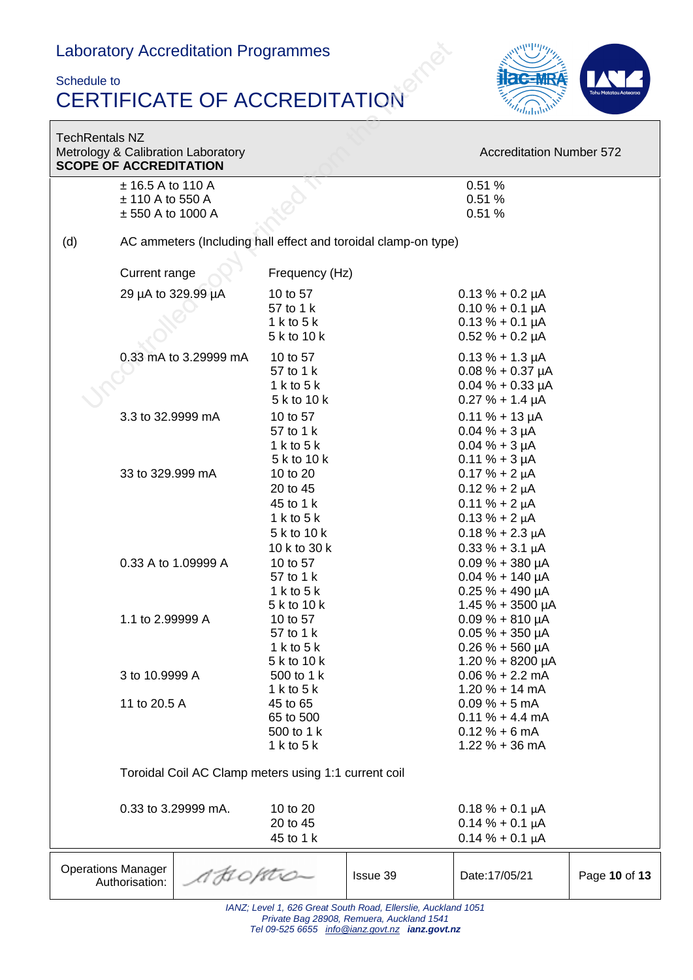### Schedule to CERTIFICATE OF ACCREDITATION



| <b>TechRentals NZ</b><br><b>SCOPE OF ACCREDITATION</b> |                                       | Metrology & Calibration Laboratory                             |                                                                                                            |          | <b>Accreditation Number 572</b>                |               |
|--------------------------------------------------------|---------------------------------------|----------------------------------------------------------------|------------------------------------------------------------------------------------------------------------|----------|------------------------------------------------|---------------|
|                                                        | ± 16.5 A to 110 A<br>± 110 A to 550 A |                                                                |                                                                                                            |          | 0.51%<br>0.51%                                 |               |
|                                                        | $± 550$ A to 1000 A                   |                                                                |                                                                                                            |          | 0.51%                                          |               |
| (d)                                                    |                                       | AC ammeters (Including hall effect and toroidal clamp-on type) |                                                                                                            |          |                                                |               |
|                                                        | Current range                         |                                                                | Frequency (Hz)                                                                                             |          |                                                |               |
|                                                        | 29 µA to 329.99 µA                    |                                                                | 10 to 57<br>57 to 1 k                                                                                      |          | $0.13 \% + 0.2 \mu A$                          |               |
|                                                        |                                       |                                                                | 1 k to 5 k                                                                                                 |          | $0.10 \% + 0.1 \mu A$<br>$0.13 \% + 0.1 \mu A$ |               |
|                                                        |                                       |                                                                | 5 k to 10 k                                                                                                |          | $0.52 \% + 0.2 \mu A$                          |               |
|                                                        |                                       | 0.33 mA to 3.29999 mA                                          | 10 to 57                                                                                                   |          | $0.13 \% + 1.3 \mu A$                          |               |
|                                                        |                                       |                                                                | 57 to 1 k                                                                                                  |          | $0.08\% + 0.37\,\mu A$                         |               |
|                                                        |                                       |                                                                | 1 k to $5k$<br>5 k to 10 k                                                                                 |          | $0.04\% + 0.33 \mu A$<br>$0.27 \% + 1.4 \mu A$ |               |
|                                                        | 3.3 to 32.9999 mA                     |                                                                | 10 to 57                                                                                                   |          | $0.11 \% + 13 \mu A$                           |               |
|                                                        |                                       |                                                                | 57 to 1 k                                                                                                  |          | $0.04 \% + 3 \mu A$                            |               |
|                                                        |                                       |                                                                | 1 k to 5 k<br>5 k to 10 k                                                                                  |          | $0.04 \% + 3 \mu A$<br>$0.11 \% + 3 \mu A$     |               |
|                                                        | 33 to 329.999 mA                      |                                                                | 10 to 20                                                                                                   |          | $0.17% + 2 \mu A$                              |               |
|                                                        |                                       |                                                                | 20 to 45                                                                                                   |          | $0.12% + 2 \mu A$                              |               |
|                                                        |                                       |                                                                | 45 to 1 k                                                                                                  |          | $0.11 \% + 2 \mu A$                            |               |
|                                                        |                                       |                                                                | 1 k to 5 k                                                                                                 |          | $0.13% + 2 \mu A$                              |               |
|                                                        |                                       |                                                                | 5 k to 10 k                                                                                                |          | $0.18 \% + 2.3 \mu A$                          |               |
|                                                        |                                       | 0.33 A to 1.09999 A                                            | 10 k to 30 k<br>10 to 57                                                                                   |          | $0.33 \% + 3.1 \mu A$<br>$0.09\% + 380 \mu A$  |               |
|                                                        |                                       |                                                                | 57 to 1 k                                                                                                  |          | $0.04\% + 140 \mu A$                           |               |
|                                                        |                                       |                                                                | 1 k to $5$ k                                                                                               |          | $0.25 \% + 490 \mu A$                          |               |
|                                                        |                                       |                                                                | 5 k to 10 k                                                                                                |          | $1.45% + 3500 \mu A$                           |               |
|                                                        | 1.1 to 2.99999 A                      |                                                                | 10 to 57                                                                                                   |          | $0.09% + 810 \mu A$                            |               |
|                                                        |                                       |                                                                | 57 to 1 k<br>1 k to 5 k                                                                                    |          | $0.05 \% + 350 \mu A$<br>$0.26 \% + 560 \mu A$ |               |
|                                                        |                                       |                                                                | 5 k to 10 k                                                                                                |          | 1.20 % + 8200 µA                               |               |
|                                                        | 3 to 10.9999 A                        |                                                                | 500 to 1 k                                                                                                 |          | $0.06 % + 2.2 mA$                              |               |
|                                                        |                                       |                                                                | 1 k to 5 k                                                                                                 |          | $1.20% + 14mA$                                 |               |
|                                                        | 11 to 20.5 A                          |                                                                | 45 to 65<br>65 to 500                                                                                      |          | $0.09% + 5mA$<br>$0.11 \% + 4.4 mA$            |               |
|                                                        |                                       |                                                                | 500 to 1 k                                                                                                 |          | $0.12% + 6mA$                                  |               |
|                                                        |                                       |                                                                | 1 k to 5 k                                                                                                 |          | $1.22 \% + 36 mA$                              |               |
|                                                        |                                       | Toroidal Coil AC Clamp meters using 1:1 current coil           |                                                                                                            |          |                                                |               |
|                                                        |                                       | 0.33 to 3.29999 mA.                                            | 10 to 20                                                                                                   |          | $0.18% + 0.1 \mu A$                            |               |
|                                                        |                                       |                                                                | 20 to 45                                                                                                   |          | $0.14% + 0.1 \mu A$                            |               |
|                                                        |                                       |                                                                | 45 to 1 k                                                                                                  |          | $0.14% + 0.1 \mu A$                            |               |
| <b>Operations Manager</b>                              | Authorisation:                        | AHOPAO-                                                        |                                                                                                            | Issue 39 | Date: 17/05/21                                 | Page 10 of 13 |
|                                                        |                                       |                                                                | IANZ; Level 1, 626 Great South Road, Ellerslie, Auckland 1051<br>Private Bag 28908, Remuera, Auckland 1541 |          |                                                |               |

*Tel 09-525 6655 [info@ianz.govt.nz](mailto:info@ianz.govt.nz) ianz.govt.nz*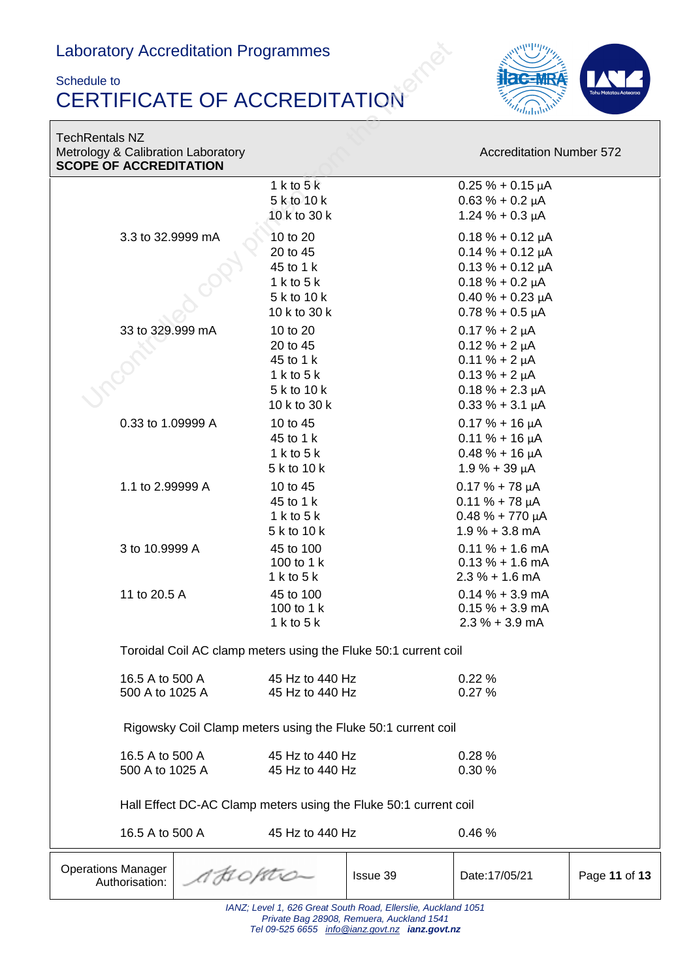#### Schedule to CERTIFICATE OF ACCREDITATION



TechRentals NZ Metrology & Calibration Laboratory **Accreditation Number 572** Accreditation Number 572 **SCOPE OF ACCREDITATION**

|                                                                  |                                                                 |                 | 1 k to $5k$                |                        | $0.25% + 0.15 \mu A$   |               |  |
|------------------------------------------------------------------|-----------------------------------------------------------------|-----------------|----------------------------|------------------------|------------------------|---------------|--|
|                                                                  |                                                                 |                 | 5 k to 10 k                |                        | $0.63 \% + 0.2 \mu A$  |               |  |
|                                                                  |                                                                 |                 | 10 k to 30 k               |                        | $1.24 \% + 0.3 \mu A$  |               |  |
|                                                                  |                                                                 |                 |                            |                        |                        |               |  |
| 3.3 to 32.9999 mA                                                |                                                                 | 10 to 20        |                            | $0.18 \% + 0.12 \mu A$ |                        |               |  |
|                                                                  |                                                                 | 20 to 45        |                            | $0.14% + 0.12 \mu A$   |                        |               |  |
|                                                                  |                                                                 |                 | 45 to 1 k                  |                        | $0.13% + 0.12 \mu A$   |               |  |
|                                                                  |                                                                 |                 | 1 k to 5 k                 |                        | $0.18% + 0.2 \mu A$    |               |  |
|                                                                  |                                                                 |                 | 5 k to 10 k                |                        | $0.40 \% + 0.23 \mu A$ |               |  |
|                                                                  |                                                                 |                 | 10 k to 30 k               |                        | $0.78% + 0.5 \mu A$    |               |  |
|                                                                  | 33 to 329.999 mA                                                |                 | 10 to 20                   |                        | $0.17% + 2 \mu A$      |               |  |
|                                                                  |                                                                 |                 | 20 to 45                   |                        | $0.12% + 2 \mu A$      |               |  |
|                                                                  |                                                                 |                 | 45 to 1 k                  |                        | $0.11 \% + 2 \mu A$    |               |  |
|                                                                  |                                                                 |                 | 1 k to 5 k                 |                        | $0.13% + 2 \mu A$      |               |  |
|                                                                  |                                                                 |                 | 5 k to 10 k                |                        | $0.18 \% + 2.3 \mu A$  |               |  |
|                                                                  |                                                                 | 10 k to 30 k    |                            | $0.33 \% + 3.1 \mu A$  |                        |               |  |
|                                                                  | 0.33 to 1.09999 A                                               |                 | 10 to 45                   |                        | $0.17 \% + 16 \mu A$   |               |  |
|                                                                  |                                                                 |                 | 45 to 1 k                  |                        | $0.11 \% + 16 \mu A$   |               |  |
|                                                                  |                                                                 | 1 k to 5 k      |                            | $0.48 \% + 16 \mu A$   |                        |               |  |
|                                                                  |                                                                 |                 | 5 k to 10 k                |                        | $1.9% + 39 \mu A$      |               |  |
|                                                                  | 1.1 to 2.99999 A                                                |                 |                            |                        |                        |               |  |
|                                                                  |                                                                 |                 | 10 to 45                   |                        | $0.17 \% + 78 \mu A$   |               |  |
|                                                                  |                                                                 |                 | 45 to 1 k                  |                        | $0.11 \% + 78 \mu A$   |               |  |
|                                                                  |                                                                 |                 | 1 k to 5 k                 |                        | $0.48 \% + 770 \mu A$  |               |  |
|                                                                  |                                                                 |                 | 5 k to 10 k                |                        | $1.9% + 3.8$ mA        |               |  |
|                                                                  | 3 to 10.9999 A                                                  |                 | 45 to 100                  |                        | $0.11 \% + 1.6$ mA     |               |  |
|                                                                  |                                                                 |                 | 100 to 1 k<br>1 k to $5$ k |                        | $0.13% + 1.6$ mA       |               |  |
|                                                                  |                                                                 |                 |                            |                        | $2.3\% + 1.6$ mA       |               |  |
|                                                                  | 11 to 20.5 A                                                    |                 | 45 to 100                  |                        | $0.14% + 3.9$ mA       |               |  |
|                                                                  |                                                                 |                 | 100 to 1 k                 |                        | $0.15% + 3.9$ mA       |               |  |
|                                                                  |                                                                 |                 | 1 k to $5$ k               |                        | $2.3% + 3.9$ mA        |               |  |
|                                                                  | Toroidal Coil AC clamp meters using the Fluke 50:1 current coil |                 |                            |                        |                        |               |  |
|                                                                  |                                                                 |                 |                            |                        |                        |               |  |
| 16.5 A to 500 A                                                  |                                                                 | 45 Hz to 440 Hz |                            | 0.22%                  |                        |               |  |
| 500 A to 1025 A                                                  |                                                                 | 45 Hz to 440 Hz |                            | 0.27%                  |                        |               |  |
|                                                                  |                                                                 |                 |                            |                        |                        |               |  |
| Rigowsky Coil Clamp meters using the Fluke 50:1 current coil     |                                                                 |                 |                            |                        |                        |               |  |
|                                                                  | 16.5 A to 500 A                                                 |                 | 45 Hz to 440 Hz            |                        | 0.28%                  |               |  |
| 500 A to 1025 A                                                  |                                                                 | 45 Hz to 440 Hz |                            | 0.30 %                 |                        |               |  |
|                                                                  |                                                                 |                 |                            |                        |                        |               |  |
| Hall Effect DC-AC Clamp meters using the Fluke 50:1 current coil |                                                                 |                 |                            |                        |                        |               |  |
| 16.5 A to 500 A                                                  |                                                                 |                 | 45 Hz to 440 Hz            |                        | 0.46%                  |               |  |
| <b>Operations Manager</b>                                        |                                                                 | 1 FI 0 /str0-   |                            | Issue 39               | Date: 17/05/21         | Page 11 of 13 |  |
|                                                                  | Authorisation:                                                  |                 |                            |                        |                        |               |  |
| IANZ; Level 1, 626 Great South Road, Ellerslie, Auckland 1051    |                                                                 |                 |                            |                        |                        |               |  |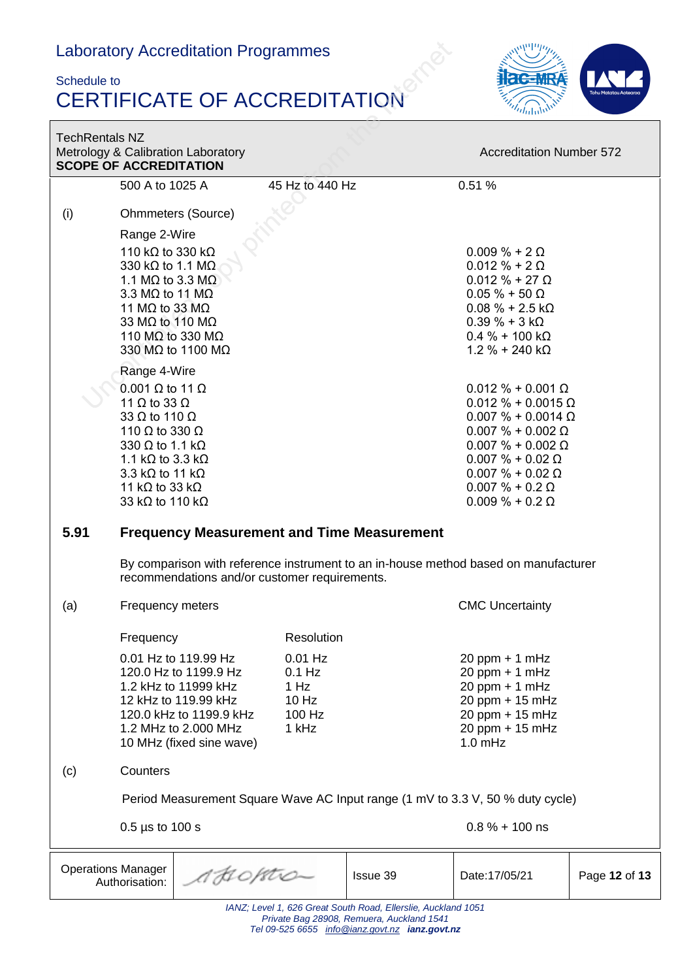#### Schedule to CERTIFICATE OF ACCREDITATION



| <b>TechRentals NZ</b><br>Metrology & Calibration Laboratory<br><b>SCOPE OF ACCREDITATION</b>               |                                                                                                                                                                                                                                                                                                            |                                                           |          | <b>Accreditation Number 572</b>                                                                                                                                                                                                                               |               |  |
|------------------------------------------------------------------------------------------------------------|------------------------------------------------------------------------------------------------------------------------------------------------------------------------------------------------------------------------------------------------------------------------------------------------------------|-----------------------------------------------------------|----------|---------------------------------------------------------------------------------------------------------------------------------------------------------------------------------------------------------------------------------------------------------------|---------------|--|
|                                                                                                            | 500 A to 1025 A                                                                                                                                                                                                                                                                                            | 45 Hz to 440 Hz                                           |          | 0.51%                                                                                                                                                                                                                                                         |               |  |
| (i)                                                                                                        | <b>Ohmmeters (Source)</b>                                                                                                                                                                                                                                                                                  |                                                           |          |                                                                                                                                                                                                                                                               |               |  |
|                                                                                                            | Range 2-Wire<br>110 k $\Omega$ to 330 k $\Omega$<br>330 k $\Omega$ to 1.1 M $\Omega$ .<br>1.1 M $\Omega$ to 3.3 M $\Omega$<br>3.3 M $\Omega$ to 11 M $\Omega$<br>11 M $\Omega$ to 33 M $\Omega$<br>33 MΩ to 110 MΩ<br>110 M $\Omega$ to 330 M $\Omega$<br>330 MΩ to 1100 MΩ                                |                                                           |          | $0.009 \% + 2 \Omega$<br>$0.012 \% + 2 \Omega$<br>$0.012 \% + 27 \Omega$<br>$0.05 \% + 50 \Omega$<br>$0.08 \% + 2.5 k\Omega$<br>$0.39 \% + 3 k\Omega$<br>$0.4 \% + 100 k\Omega$<br>$1.2 \% + 240 k\Omega$                                                     |               |  |
|                                                                                                            | Range 4-Wire<br>$0.001$ $\Omega$ to 11 $\Omega$<br>11 $\Omega$ to 33 $\Omega$<br>33 $\Omega$ to 110 $\Omega$<br>110 $\Omega$ to 330 $\Omega$<br>330 $\Omega$ to 1.1 k $\Omega$<br>1.1 k $\Omega$ to 3.3 k $\Omega$<br>3.3 k $\Omega$ to 11 k $\Omega$<br>11 k $\Omega$ to 33 k $\Omega$<br>33 kΩ to 110 kΩ |                                                           |          | $0.012 \% + 0.001 \Omega$<br>$0.012 \% + 0.0015 \Omega$<br>$0.007 \% + 0.0014 \Omega$<br>$0.007 \% + 0.002 \Omega$<br>$0.007 \% + 0.002 \Omega$<br>$0.007 \% + 0.02 \Omega$<br>$0.007 \% + 0.02 \Omega$<br>$0.007 \% + 0.2 \Omega$<br>$0.009 \% + 0.2 \Omega$ |               |  |
| 5.91                                                                                                       | <b>Frequency Measurement and Time Measurement</b>                                                                                                                                                                                                                                                          |                                                           |          |                                                                                                                                                                                                                                                               |               |  |
|                                                                                                            | By comparison with reference instrument to an in-house method based on manufacturer<br>recommendations and/or customer requirements.                                                                                                                                                                       |                                                           |          |                                                                                                                                                                                                                                                               |               |  |
| (a)                                                                                                        | Frequency meters                                                                                                                                                                                                                                                                                           |                                                           |          | <b>CMC Uncertainty</b>                                                                                                                                                                                                                                        |               |  |
|                                                                                                            | Frequency                                                                                                                                                                                                                                                                                                  | Resolution                                                |          |                                                                                                                                                                                                                                                               |               |  |
|                                                                                                            | 0.01 Hz to 119.99 Hz<br>120.0 Hz to 1199.9 Hz<br>1.2 kHz to 11999 kHz<br>12 kHz to 119.99 kHz<br>120.0 kHz to 1199.9 kHz<br>1.2 MHz to 2.000 MHz<br>10 MHz (fixed sine wave)                                                                                                                               | $0.01$ Hz<br>$0.1$ Hz<br>1 Hz<br>10 Hz<br>100 Hz<br>1 kHz |          | $20$ ppm + 1 mHz<br>$20$ ppm + 1 mHz<br>$20$ ppm + 1 mHz<br>20 ppm + 15 mHz<br>20 ppm + 15 mHz<br>20 ppm + 15 mHz<br>$1.0$ mHz                                                                                                                                |               |  |
| (c)                                                                                                        | Counters                                                                                                                                                                                                                                                                                                   |                                                           |          |                                                                                                                                                                                                                                                               |               |  |
|                                                                                                            | Period Measurement Square Wave AC Input range (1 mV to 3.3 V, 50 % duty cycle)                                                                                                                                                                                                                             |                                                           |          |                                                                                                                                                                                                                                                               |               |  |
|                                                                                                            | $0.5$ µs to 100 s                                                                                                                                                                                                                                                                                          |                                                           |          | $0.8\% + 100$ ns                                                                                                                                                                                                                                              |               |  |
| <b>Operations Manager</b><br>A HOPAO-<br>Authorisation:                                                    |                                                                                                                                                                                                                                                                                                            |                                                           | Issue 39 | Date: 17/05/21                                                                                                                                                                                                                                                | Page 12 of 13 |  |
| IANZ; Level 1, 626 Great South Road, Ellerslie, Auckland 1051<br>Private Bag 28908, Remuera, Auckland 1541 |                                                                                                                                                                                                                                                                                                            |                                                           |          |                                                                                                                                                                                                                                                               |               |  |